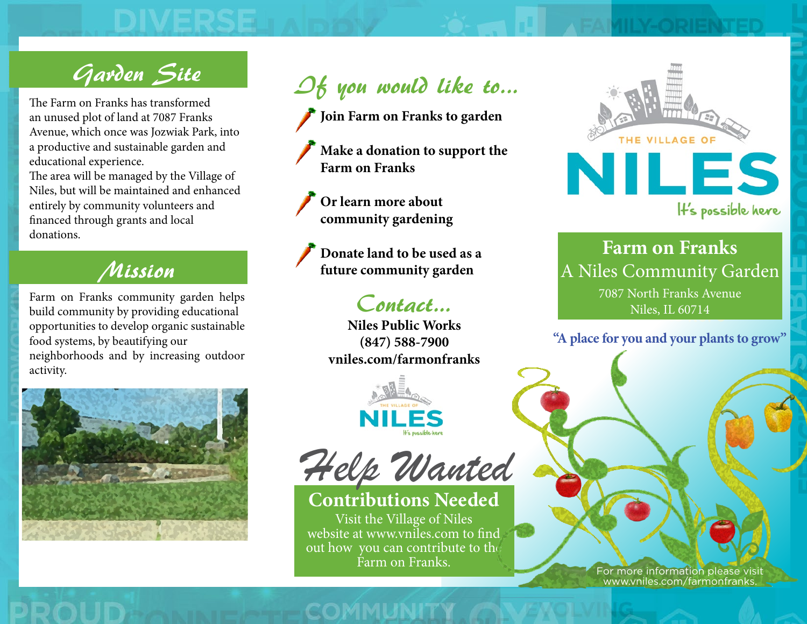# Garden Site

an unused plot of land at 7087 Franks Avenue, which once was Jozwiak Park, into a productive and sustainable garden and educational experience.

The area will be managed by the Village of Niles, but will be maintained and enhanced entirely by community volunteers and financed through grants and local donations.

### Mission

Farm on Franks community garden helps build community by providing educational opportunities to develop organic sustainable food systems, by beautifying our neighborhoods and by increasing outdoor activity.





**Join Farm on Franks to garden**

- **Make a donation to support the Farm on Franks**
- **Or learn more about community gardening**

**Donate land to be used as a future community garden**

**Niles Public Works**

**(847) 588-7900 vniles.com/farmonfranks**





**Contributions Needed** Visit the Village of Niles website at www.vniles.com to find out how you can contribute to the Farm on Franks.



**Farm on Franks** A Niles Community Garden **Contact...** 7087 North Franks Avenue 7087 North Example 7087 North Example 200714

**"A place for you and your plants to grow"**

For more information please visit www.vniles.com/farmonfranks.